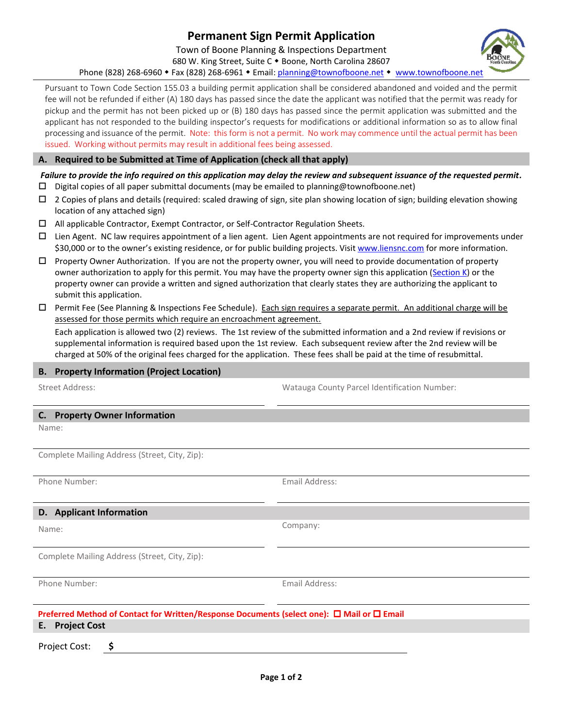# **Permanent Sign Permit Application**

Town of Boone Planning & Inspections Department

680 W. King Street, Suite C . Boone, North Carolina 28607

Phone (828) 268-6960 • Fax (828) 268-6961 • Email: [planning@townofboone.net](mailto:planning@townofboone.net) • [www.townofboone.net](http://www.townofboone.net/)

Pursuant to Town Code Section 155.03 a building permit application shall be considered abandoned and voided and the permit fee will not be refunded if either (A) 180 days has passed since the date the applicant was notified that the permit was ready for pickup and the permit has not been picked up or (B) 180 days has passed since the permit application was submitted and the applicant has not responded to the building inspector's requests for modifications or additional information so as to allow final processing and issuance of the permit. Note: this form is not a permit. No work may commence until the actual permit has been issued. Working without permits may result in additional fees being assessed.

### **A. Required to be Submitted at Time of Application (check all that apply)**

## *Failure to provide the info required on this application may delay the review and subsequent issuance of the requested permit.*

- $\square$  Digital copies of all paper submittal documents (may be emailed to planning@townofboone.net)
- $\Box$  2 Copies of plans and details (required: scaled drawing of sign, site plan showing location of sign; building elevation showing location of any attached sign)
- All applicable Contractor, Exempt Contractor, or Self-Contractor Regulation Sheets.
- Lien Agent. NC law requires appointment of a lien agent. Lien Agent appointments are not required for improvements under \$30,000 or to the owner's existing residence, or for public building projects. Visit [www.liensnc.com](http://www.liensnc.com/) for more information.
- $\Box$  Property Owner Authorization. If you are not the property owner, you will need to provide documentation of property owner authorization to apply for this permit. You may have the property owner sign this application [\(Section K\)](#page-1-0) or the property owner can provide a written and signed authorization that clearly states they are authorizing the applicant to submit this application.
- □ Permit Fee (See Planning & Inspections Fee Schedule). Each sign requires a separate permit. An additional charge will be assessed for those permits which require an encroachment agreement.

Each application is allowed two (2) reviews. The 1st review of the submitted information and a 2nd review if revisions or supplemental information is required based upon the 1st review. Each subsequent review after the 2nd review will be charged at 50% of the original fees charged for the application. These fees shall be paid at the time of resubmittal.

#### **B. Property Information (Project Location)**

Street Address: Watauga County Parcel Identification Number:

**C. Property Owner Information**  Name:

Complete Mailing Address (Street, City, Zip):

Phone Number: Email Address:

## **D. Applicant Information**

Name:

Complete Mailing Address (Street, City, Zip):

Phone Number: The Communication of the Email Address: Email Address:

**Preferred Method of Contact for Written/Response Documents (select one): □ Mail or □ Email E. Project Cost**

Project Cost: **\$**



Company: